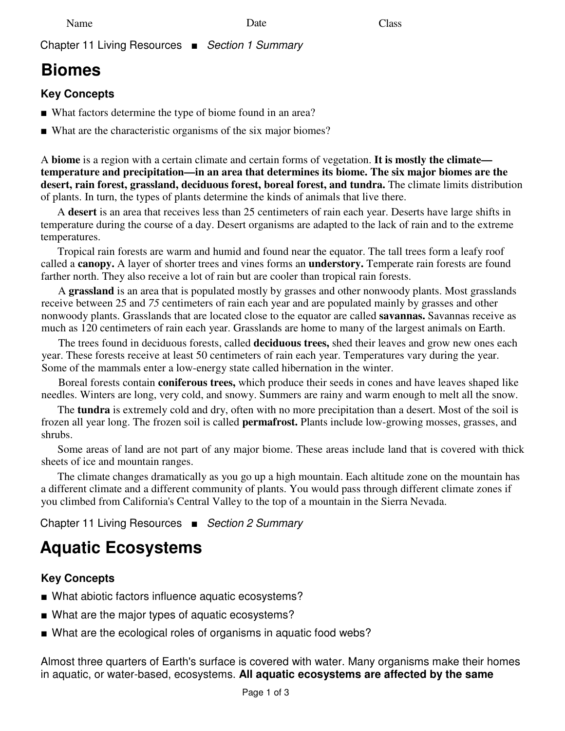Chapter 11 Living Resources ■ Section 1 Summary

## **Biomes**

## **Key Concepts**

- What factors determine the type of biome found in an area?
- What are the characteristic organisms of the six major biomes?

A **biome** is a region with a certain climate and certain forms of vegetation. **It is mostly the climate temperature and precipitation—in an area that determines its biome. The six major biomes are the desert, rain forest, grassland, deciduous forest, boreal forest, and tundra.** The climate limits distribution of plants. In turn, the types of plants determine the kinds of animals that live there.

A **desert** is an area that receives less than 25 centimeters of rain each year. Deserts have large shifts in temperature during the course of a day. Desert organisms are adapted to the lack of rain and to the extreme temperatures.

Tropical rain forests are warm and humid and found near the equator. The tall trees form a leafy roof called a **canopy.** A layer of shorter trees and vines forms an **understory.** Temperate rain forests are found farther north. They also receive a lot of rain but are cooler than tropical rain forests.

A **grassland** is an area that is populated mostly by grasses and other nonwoody plants. Most grasslands receive between 25 and *75* centimeters of rain each year and are populated mainly by grasses and other nonwoody plants. Grasslands that are located close to the equator are called **savannas.** Savannas receive as much as 120 centimeters of rain each year. Grasslands are home to many of the largest animals on Earth.

The trees found in deciduous forests, called **deciduous trees,** shed their leaves and grow new ones each year. These forests receive at least 50 centimeters of rain each year. Temperatures vary during the year. Some of the mammals enter a low-energy state called hibernation in the winter.

Boreal forests contain **coniferous trees,** which produce their seeds in cones and have leaves shaped like needles. Winters are long, very cold, and snowy. Summers are rainy and warm enough to melt all the snow.

The **tundra** is extremely cold and dry, often with no more precipitation than a desert. Most of the soil is frozen all year long. The frozen soil is called **permafrost.** Plants include low-growing mosses, grasses, and shrubs.

Some areas of land are not part of any major biome. These areas include land that is covered with thick sheets of ice and mountain ranges.

The climate changes dramatically as you go up a high mountain. Each altitude zone on the mountain has a different climate and a different community of plants. You would pass through different climate zones if you climbed from California's Central Valley to the top of a mountain in the Sierra Nevada.

Chapter 11 Living Resources ■ Section 2 Summary

# **Aquatic Ecosystems**

## **Key Concepts**

- What abiotic factors influence aquatic ecosystems?
- What are the major types of aquatic ecosystems?
- What are the ecological roles of organisms in aquatic food webs?

Almost three quarters of Earth's surface is covered with water. Many organisms make their homes in aquatic, or water-based, ecosystems. **All aquatic ecosystems are affected by the same**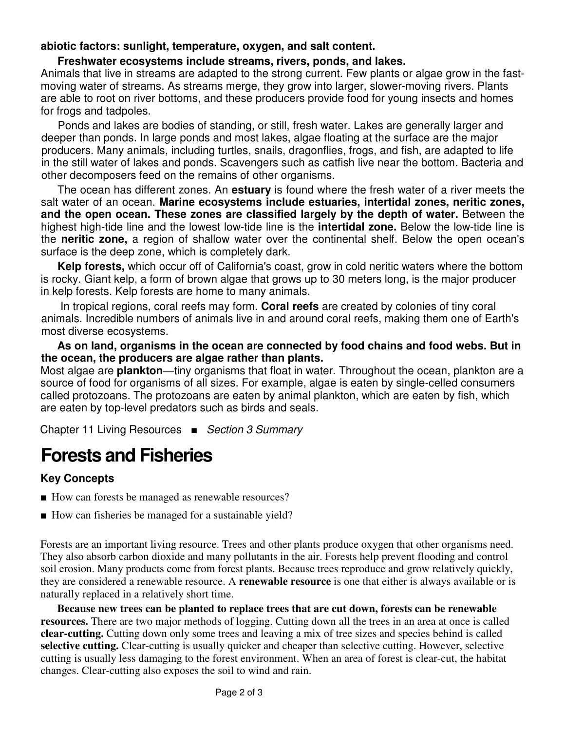#### **abiotic factors: sunlight, temperature, oxygen, and salt content.**

#### **Freshwater ecosystems include streams, rivers, ponds, and lakes.**

Animals that live in streams are adapted to the strong current. Few plants or algae grow in the fastmoving water of streams. As streams merge, they grow into larger, slower-moving rivers. Plants are able to root on river bottoms, and these producers provide food for young insects and homes for frogs and tadpoles.

Ponds and lakes are bodies of standing, or still, fresh water. Lakes are generally larger and deeper than ponds. In large ponds and most lakes, algae floating at the surface are the major producers. Many animals, including turtles, snails, dragonflies, frogs, and fish, are adapted to life in the still water of lakes and ponds. Scavengers such as catfish live near the bottom. Bacteria and other decomposers feed on the remains of other organisms.

The ocean has different zones. An **estuary** is found where the fresh water of a river meets the salt water of an ocean. **Marine ecosystems include estuaries, intertidal zones, neritic zones, and the open ocean. These zones are classified largely by the depth of water.** Between the highest high-tide line and the lowest low-tide line is the **intertidal zone.** Below the low-tide line is the **neritic zone,** a region of shallow water over the continental shelf. Below the open ocean's surface is the deep zone, which is completely dark.

**Kelp forests,** which occur off of California's coast, grow in cold neritic waters where the bottom is rocky. Giant kelp, a form of brown algae that grows up to 30 meters long, is the major producer in kelp forests. Kelp forests are home to many animals.

In tropical regions, coral reefs may form. **Coral reefs** are created by colonies of tiny coral animals. Incredible numbers of animals live in and around coral reefs, making them one of Earth's most diverse ecosystems.

**As on land, organisms in the ocean are connected by food chains and food webs. But in the ocean, the producers are algae rather than plants.**

Most algae are **plankton**—tiny organisms that float in water. Throughout the ocean, plankton are a source of food for organisms of all sizes. For example, algae is eaten by single-celled consumers called protozoans. The protozoans are eaten by animal plankton, which are eaten by fish, which are eaten by top-level predators such as birds and seals.

Chapter 11 Living Resources ■ Section 3 Summary

# **Forests and Fisheries**

### **Key Concepts**

- How can forests be managed as renewable resources?
- How can fisheries be managed for a sustainable yield?

Forests are an important living resource. Trees and other plants produce oxygen that other organisms need. They also absorb carbon dioxide and many pollutants in the air. Forests help prevent flooding and control soil erosion. Many products come from forest plants. Because trees reproduce and grow relatively quickly, they are considered a renewable resource. A **renewable resource** is one that either is always available or is naturally replaced in a relatively short time.

**Because new trees can be planted to replace trees that are cut down, forests can be renewable resources.** There are two major methods of logging. Cutting down all the trees in an area at once is called **clear-cutting.** Cutting down only some trees and leaving a mix of tree sizes and species behind is called **selective cutting.** Clear-cutting is usually quicker and cheaper than selective cutting. However, selective cutting is usually less damaging to the forest environment. When an area of forest is clear-cut, the habitat changes. Clear-cutting also exposes the soil to wind and rain.